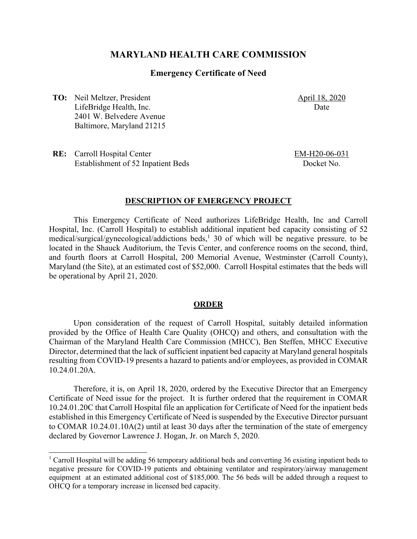# **MARYLAND HEALTH CARE COMMISSION**

### **Emergency Certificate of Need**

**TO:** Neil Meltzer, President LifeBridge Health, Inc. 2401 W. Belvedere Avenue Baltimore, Maryland 21215 April 18, 2020 Date

**RE:** Carroll Hospital Center Establishment of 52 Inpatient Beds EM-H20-06-031 Docket No.

#### **DESCRIPTION OF EMERGENCY PROJECT**

This Emergency Certificate of Need authorizes LifeBridge Health, Inc and Carroll Hospital, Inc. (Carroll Hospital) to establish additional inpatient bed capacity consisting of 52 medical/surgical/gynecological/addictions beds,<sup>1</sup> 30 of which will be negative pressure. to be located in the Shauck Auditorium, the Tevis Center, and conference rooms on the second, third, and fourth floors at Carroll Hospital, 200 Memorial Avenue, Westminster (Carroll County), Maryland (the Site), at an estimated cost of \$52,000. Carroll Hospital estimates that the beds will be operational by April 21, 2020.

#### **ORDER**

Upon consideration of the request of Carroll Hospital, suitably detailed information provided by the Office of Health Care Quality (OHCQ) and others, and consultation with the Chairman of the Maryland Health Care Commission (MHCC), Ben Steffen, MHCC Executive Director, determined that the lack of sufficient inpatient bed capacity at Maryland general hospitals resulting from COVID-19 presents a hazard to patients and/or employees, as provided in COMAR 10.24.01.20A.

Therefore, it is, on April 18, 2020, ordered by the Executive Director that an Emergency Certificate of Need issue for the project. It is further ordered that the requirement in COMAR 10.24.01.20C that Carroll Hospital file an application for Certificate of Need for the inpatient beds established in this Emergency Certificate of Need is suspended by the Executive Director pursuant to COMAR 10.24.01.10A(2) until at least 30 days after the termination of the state of emergency declared by Governor Lawrence J. Hogan, Jr. on March 5, 2020.

<sup>&</sup>lt;sup>1</sup> Carroll Hospital will be adding 56 temporary additional beds and converting 36 existing inpatient beds to negative pressure for COVID-19 patients and obtaining ventilator and respiratory/airway management equipment at an estimated additional cost of \$185,000. The 56 beds will be added through a request to OHCQ for a temporary increase in licensed bed capacity.